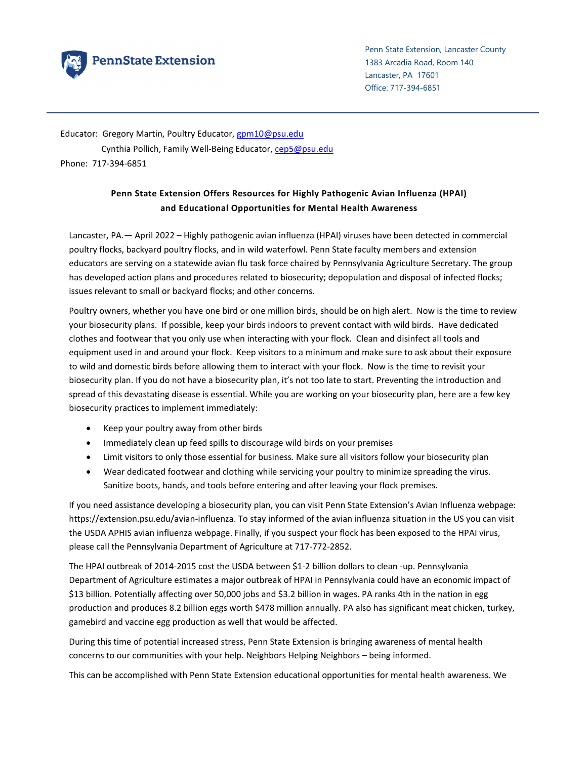

Penn State Extension, Lancaster County 1383 Arcadia Road, Room 140 Lancaster, PA 17601 Office: 717-394-6851

Educator: Gregory Martin, Poultry Educator, gpm10@psu.edu Cynthia Pollich, Family Well‐Being Educator, cep5@psu.edu Phone: 717‐394‐6851

## **Penn State Extension Offers Resources for Highly Pathogenic Avian Influenza (HPAI) and Educational Opportunities for Mental Health Awareness**

Lancaster, PA.— April 2022 – Highly pathogenic avian influenza (HPAI) viruses have been detected in commercial poultry flocks, backyard poultry flocks, and in wild waterfowl. Penn State faculty members and extension educators are serving on a statewide avian flu task force chaired by Pennsylvania Agriculture Secretary. The group has developed action plans and procedures related to biosecurity; depopulation and disposal of infected flocks; issues relevant to small or backyard flocks; and other concerns.

Poultry owners, whether you have one bird or one million birds, should be on high alert. Now is the time to review your biosecurity plans. If possible, keep your birds indoors to prevent contact with wild birds. Have dedicated clothes and footwear that you only use when interacting with your flock. Clean and disinfect all tools and equipment used in and around your flock. Keep visitors to a minimum and make sure to ask about their exposure to wild and domestic birds before allowing them to interact with your flock. Now is the time to revisit your biosecurity plan. If you do not have a biosecurity plan, it's not too late to start. Preventing the introduction and spread of this devastating disease is essential. While you are working on your biosecurity plan, here are a few key biosecurity practices to implement immediately:

- Keep your poultry away from other birds
- Immediately clean up feed spills to discourage wild birds on your premises
- Limit visitors to only those essential for business. Make sure all visitors follow your biosecurity plan
- Wear dedicated footwear and clothing while servicing your poultry to minimize spreading the virus. Sanitize boots, hands, and tools before entering and after leaving your flock premises.

If you need assistance developing a biosecurity plan, you can visit Penn State Extension's Avian Influenza webpage: https://extension.psu.edu/avian‐influenza. To stay informed of the avian influenza situation in the US you can visit the USDA APHIS avian influenza webpage. Finally, if you suspect your flock has been exposed to the HPAI virus, please call the Pennsylvania Department of Agriculture at 717‐772‐2852.

The HPAI outbreak of 2014‐2015 cost the USDA between \$1‐2 billion dollars to clean ‐up. Pennsylvania Department of Agriculture estimates a major outbreak of HPAI in Pennsylvania could have an economic impact of \$13 billion. Potentially affecting over 50,000 jobs and \$3.2 billion in wages. PA ranks 4th in the nation in egg production and produces 8.2 billion eggs worth \$478 million annually. PA also has significant meat chicken, turkey, gamebird and vaccine egg production as well that would be affected.

During this time of potential increased stress, Penn State Extension is bringing awareness of mental health concerns to our communities with your help. Neighbors Helping Neighbors – being informed.

This can be accomplished with Penn State Extension educational opportunities for mental health awareness. We